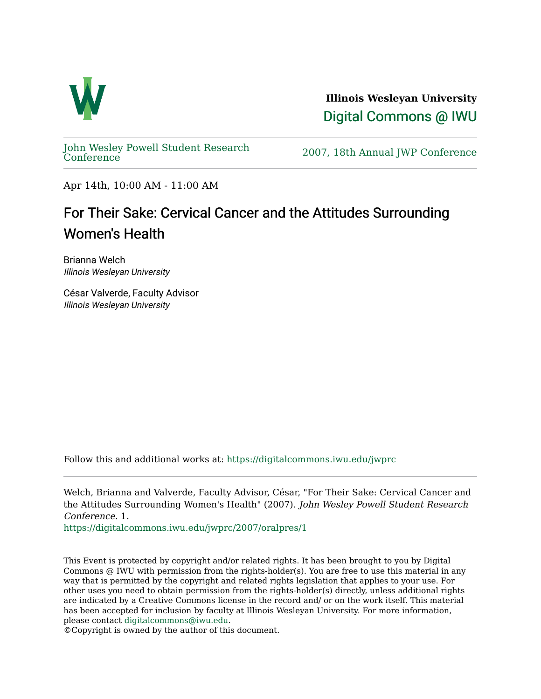

**Illinois Wesleyan University**  [Digital Commons @ IWU](https://digitalcommons.iwu.edu/) 

[John Wesley Powell Student Research](https://digitalcommons.iwu.edu/jwprc) 

2007, 18th Annual JWP [Conference](https://digitalcommons.iwu.edu/jwprc)

Apr 14th, 10:00 AM - 11:00 AM

## For Their Sake: Cervical Cancer and the Attitudes Surrounding Women's Health

Brianna Welch Illinois Wesleyan University

César Valverde, Faculty Advisor Illinois Wesleyan University

Follow this and additional works at: [https://digitalcommons.iwu.edu/jwprc](https://digitalcommons.iwu.edu/jwprc?utm_source=digitalcommons.iwu.edu%2Fjwprc%2F2007%2Foralpres%2F1&utm_medium=PDF&utm_campaign=PDFCoverPages) 

Welch, Brianna and Valverde, Faculty Advisor, César, "For Their Sake: Cervical Cancer and the Attitudes Surrounding Women's Health" (2007). John Wesley Powell Student Research Conference. 1.

[https://digitalcommons.iwu.edu/jwprc/2007/oralpres/1](https://digitalcommons.iwu.edu/jwprc/2007/oralpres/1?utm_source=digitalcommons.iwu.edu%2Fjwprc%2F2007%2Foralpres%2F1&utm_medium=PDF&utm_campaign=PDFCoverPages) 

This Event is protected by copyright and/or related rights. It has been brought to you by Digital Commons @ IWU with permission from the rights-holder(s). You are free to use this material in any way that is permitted by the copyright and related rights legislation that applies to your use. For other uses you need to obtain permission from the rights-holder(s) directly, unless additional rights are indicated by a Creative Commons license in the record and/ or on the work itself. This material has been accepted for inclusion by faculty at Illinois Wesleyan University. For more information, please contact [digitalcommons@iwu.edu.](mailto:digitalcommons@iwu.edu)

©Copyright is owned by the author of this document.